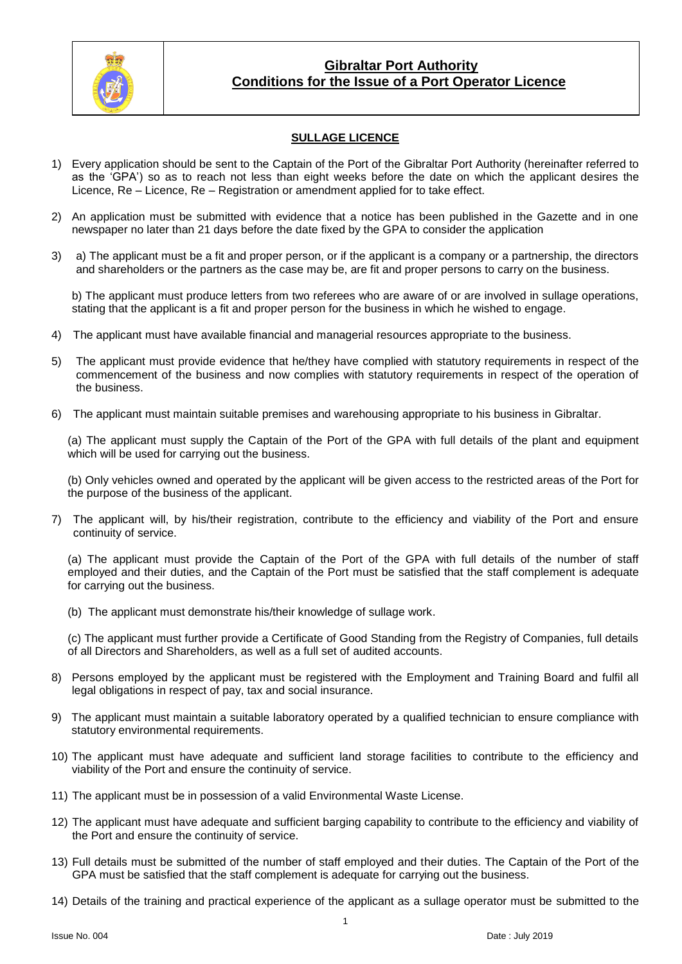

## **Gibraltar Port Authority Conditions for the Issue of a Port Operator Licence**

## **SULLAGE LICENCE**

- 1) Every application should be sent to the Captain of the Port of the Gibraltar Port Authority (hereinafter referred to as the 'GPA') so as to reach not less than eight weeks before the date on which the applicant desires the Licence, Re – Licence, Re – Registration or amendment applied for to take effect.
- 2) An application must be submitted with evidence that a notice has been published in the Gazette and in one newspaper no later than 21 days before the date fixed by the GPA to consider the application
- 3) a) The applicant must be a fit and proper person, or if the applicant is a company or a partnership, the directors and shareholders or the partners as the case may be, are fit and proper persons to carry on the business.

b) The applicant must produce letters from two referees who are aware of or are involved in sullage operations, stating that the applicant is a fit and proper person for the business in which he wished to engage.

- 4) The applicant must have available financial and managerial resources appropriate to the business.
- 5) The applicant must provide evidence that he/they have complied with statutory requirements in respect of the commencement of the business and now complies with statutory requirements in respect of the operation of the business.
- 6) The applicant must maintain suitable premises and warehousing appropriate to his business in Gibraltar.

(a) The applicant must supply the Captain of the Port of the GPA with full details of the plant and equipment which will be used for carrying out the business.

(b) Only vehicles owned and operated by the applicant will be given access to the restricted areas of the Port for the purpose of the business of the applicant.

7) The applicant will, by his/their registration, contribute to the efficiency and viability of the Port and ensure continuity of service.

(a) The applicant must provide the Captain of the Port of the GPA with full details of the number of staff employed and their duties, and the Captain of the Port must be satisfied that the staff complement is adequate for carrying out the business.

(b) The applicant must demonstrate his/their knowledge of sullage work.

(c) The applicant must further provide a Certificate of Good Standing from the Registry of Companies, full details of all Directors and Shareholders, as well as a full set of audited accounts.

- 8) Persons employed by the applicant must be registered with the Employment and Training Board and fulfil all legal obligations in respect of pay, tax and social insurance.
- 9) The applicant must maintain a suitable laboratory operated by a qualified technician to ensure compliance with statutory environmental requirements.
- 10) The applicant must have adequate and sufficient land storage facilities to contribute to the efficiency and viability of the Port and ensure the continuity of service.
- 11) The applicant must be in possession of a valid Environmental Waste License.
- 12) The applicant must have adequate and sufficient barging capability to contribute to the efficiency and viability of the Port and ensure the continuity of service.
- 13) Full details must be submitted of the number of staff employed and their duties. The Captain of the Port of the GPA must be satisfied that the staff complement is adequate for carrying out the business.

14) Details of the training and practical experience of the applicant as a sullage operator must be submitted to the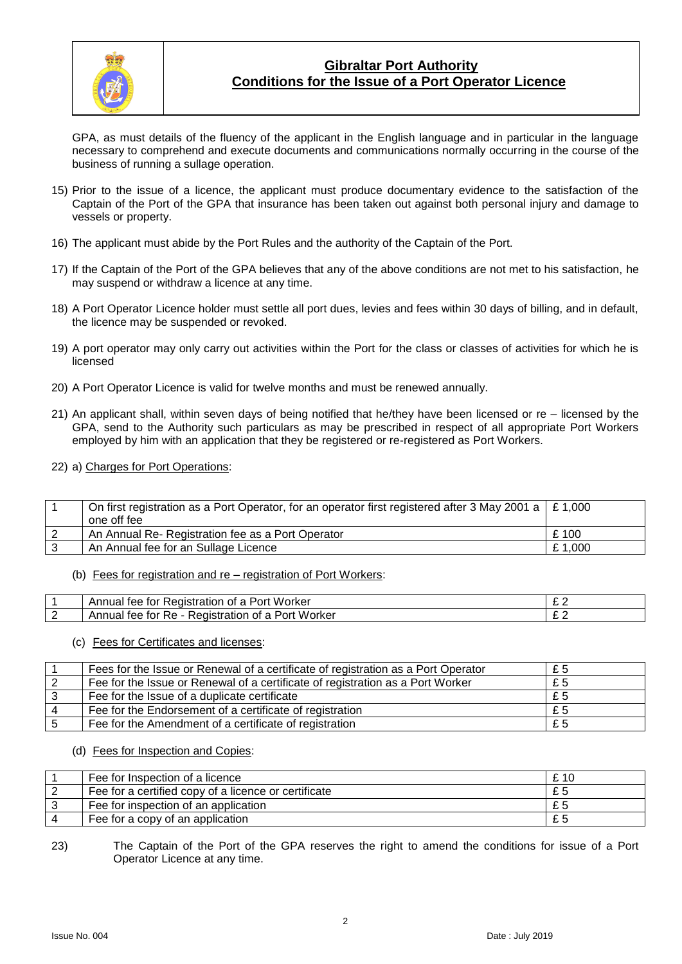

# **Gibraltar Port Authority Conditions for the Issue of a Port Operator Licence**

GPA, as must details of the fluency of the applicant in the English language and in particular in the language necessary to comprehend and execute documents and communications normally occurring in the course of the business of running a sullage operation.

- 15) Prior to the issue of a licence, the applicant must produce documentary evidence to the satisfaction of the Captain of the Port of the GPA that insurance has been taken out against both personal injury and damage to vessels or property.
- 16) The applicant must abide by the Port Rules and the authority of the Captain of the Port.
- 17) If the Captain of the Port of the GPA believes that any of the above conditions are not met to his satisfaction, he may suspend or withdraw a licence at any time.
- 18) A Port Operator Licence holder must settle all port dues, levies and fees within 30 days of billing, and in default, the licence may be suspended or revoked.
- 19) A port operator may only carry out activities within the Port for the class or classes of activities for which he is licensed
- 20) A Port Operator Licence is valid for twelve months and must be renewed annually.
- 21) An applicant shall, within seven days of being notified that he/they have been licensed or re licensed by the GPA, send to the Authority such particulars as may be prescribed in respect of all appropriate Port Workers employed by him with an application that they be registered or re-registered as Port Workers.
- 22) a) Charges for Port Operations:

| On first registration as a Port Operator, for an operator first registered after 3 May 2001 a $\mid$ £ 1,000 |        |
|--------------------------------------------------------------------------------------------------------------|--------|
| one off fee                                                                                                  |        |
| An Annual Re- Registration fee as a Port Operator                                                            | £100   |
| An Annual fee for an Sullage Licence                                                                         | £1,000 |

(b) Fees for registration and re – registration of Port Workers:

| Worker<br>Annual<br>Redistration<br>tor<br>าt ล<br>tee:<br>. Port        |   |
|--------------------------------------------------------------------------|---|
| Worker<br>Annua.<br>tor<br>kegistration<br>Port<br>ĸe.<br>tee<br>0t<br>a | - |

#### (c) Fees for Certificates and licenses:

| Fees for the Issue or Renewal of a certificate of registration as a Port Operator | £5 |
|-----------------------------------------------------------------------------------|----|
| Fee for the Issue or Renewal of a certificate of registration as a Port Worker    | £5 |
| Fee for the Issue of a duplicate certificate                                      | £5 |
| Fee for the Endorsement of a certificate of registration                          | £5 |
| Fee for the Amendment of a certificate of registration                            | £5 |

#### (d) Fees for Inspection and Copies:

| Fee for Inspection of a licence                      | £ 10 |
|------------------------------------------------------|------|
| Fee for a certified copy of a licence or certificate |      |
| Fee for inspection of an application                 |      |
| Fee for a copy of an application                     |      |

#### 23) The Captain of the Port of the GPA reserves the right to amend the conditions for issue of a Port Operator Licence at any time.